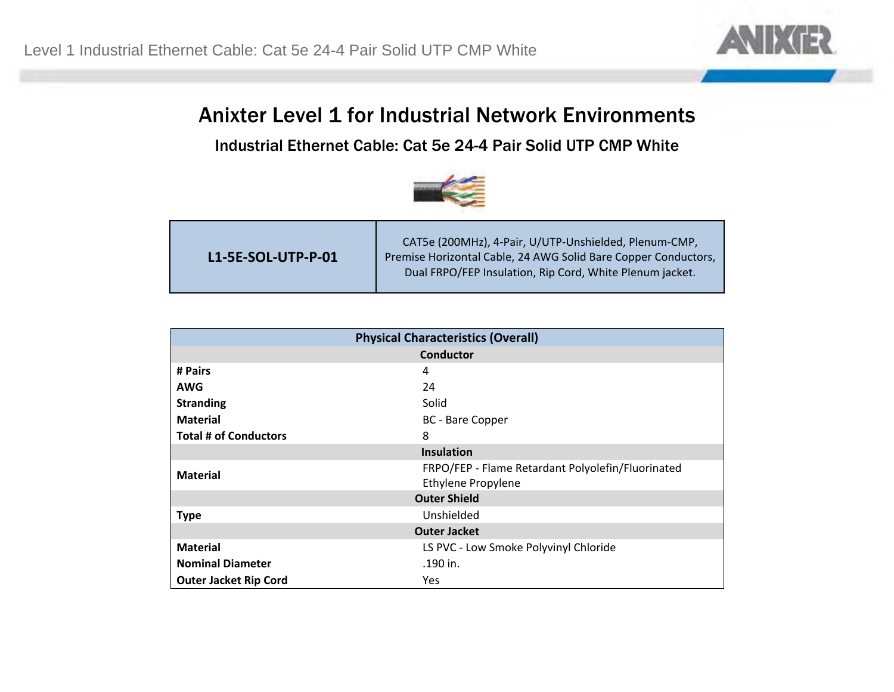

## Anixter Level 1 for Industrial Network Environments

Industrial Ethernet Cable: Cat 5e 24-4 Pair Solid UTP CMP White



| L1-5E-SOL-UTP-P-01 | CAT5e (200MHz), 4-Pair, U/UTP-Unshielded, Plenum-CMP,<br>Premise Horizontal Cable, 24 AWG Solid Bare Copper Conductors,<br>Dual FRPO/FEP Insulation, Rip Cord, White Plenum jacket. |
|--------------------|-------------------------------------------------------------------------------------------------------------------------------------------------------------------------------------|
|--------------------|-------------------------------------------------------------------------------------------------------------------------------------------------------------------------------------|

| <b>Physical Characteristics (Overall)</b> |                                                   |  |
|-------------------------------------------|---------------------------------------------------|--|
| <b>Conductor</b>                          |                                                   |  |
| # Pairs                                   | 4                                                 |  |
| <b>AWG</b>                                | 24                                                |  |
| <b>Stranding</b>                          | Solid                                             |  |
| <b>Material</b>                           | <b>BC</b> - Bare Copper                           |  |
| <b>Total # of Conductors</b>              | 8                                                 |  |
| <b>Insulation</b>                         |                                                   |  |
| <b>Material</b>                           | FRPO/FEP - Flame Retardant Polyolefin/Fluorinated |  |
|                                           | <b>Ethylene Propylene</b>                         |  |
| <b>Outer Shield</b>                       |                                                   |  |
| <b>Type</b>                               | Unshielded                                        |  |
| <b>Outer Jacket</b>                       |                                                   |  |
| <b>Material</b>                           | LS PVC - Low Smoke Polyvinyl Chloride             |  |
| <b>Nominal Diameter</b>                   | .190 in.                                          |  |
| <b>Outer Jacket Rip Cord</b>              | Yes                                               |  |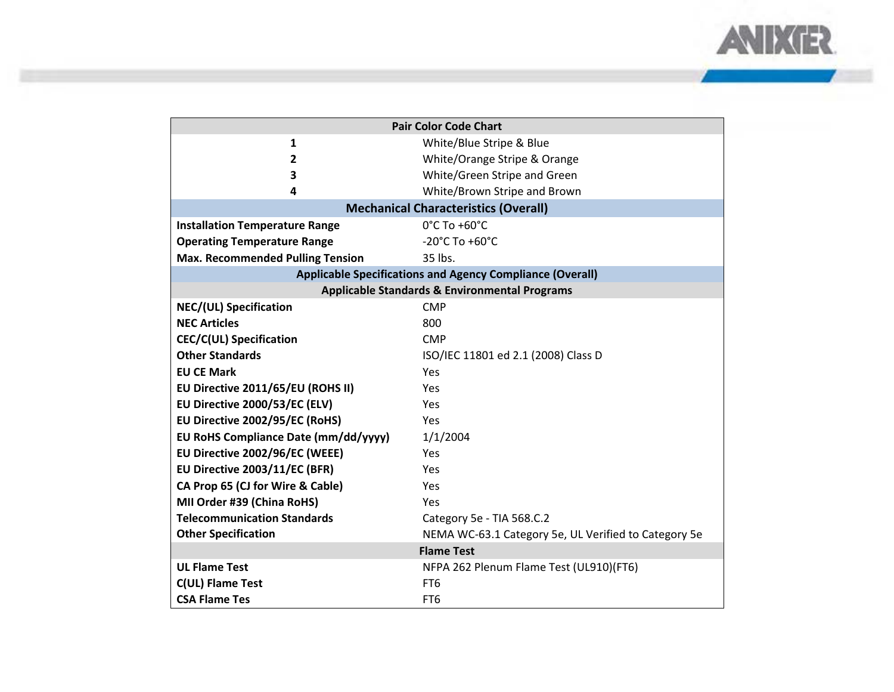